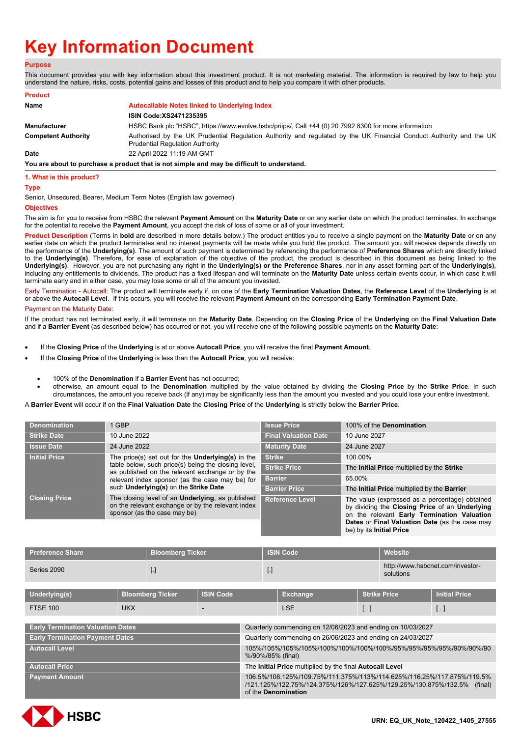# **Key Information Document**

# **Purpose**

This document provides you with key information about this investment product. It is not marketing material. The information is required by law to help you understand the nature, risks, costs, potential gains and losses of this product and to help you compare it with other products.

| <b>Product</b>             |                                                                                                                                                               |
|----------------------------|---------------------------------------------------------------------------------------------------------------------------------------------------------------|
| Name                       | Autocallable Notes linked to Underlying Index                                                                                                                 |
|                            | ISIN Code: XS2471235395                                                                                                                                       |
| Manufacturer               | HSBC Bank plc "HSBC", https://www.evolve.hsbc/priips/, Call +44 (0) 20 7992 8300 for more information                                                         |
| <b>Competent Authority</b> | Authorised by the UK Prudential Regulation Authority and regulated by the UK Financial Conduct Authority and the UK<br><b>Prudential Regulation Authority</b> |
| Date                       | 22 April 2022 11:19 AM GMT                                                                                                                                    |
|                            | You are about to purchase a product that is not simple and may be difficult to understand.                                                                    |
|                            |                                                                                                                                                               |

## **1. What is this product?**

## **Type**

Senior, Unsecured, Bearer, Medium Term Notes (English law governed)

# **Objectives**

The aim is for you to receive from HSBC the relevant **Payment Amount** on the **Maturity Date** or on any earlier date on which the product terminates. In exchange for the potential to receive the **Payment Amount**, you accept the risk of loss of some or all of your investment.

**Product Description** (Terms in **bold** are described in more details below.) The product entitles you to receive a single payment on the **Maturity Date** or on any earlier date on which the product terminates and no interest payments will be made while you hold the product. The amount you will receive depends directly on the performance of the **Underlying(s)**. The amount of such payment is determined by referencing the performance of **Preference Shares** which are directly linked to the **Underlying(s)**. Therefore, for ease of explanation of the objective of the product, the product is described in this document as being linked to the **Underlying(s)**. However, you are not purchasing any right in the **Underlying(s) or the Preference Shares**, nor in any asset forming part of the **Underlying(s)**, including any entitlements to dividends. The product has a fixed lifespan and will terminate on the **Maturity Date** unless certain events occur, in which case it will terminate early and in either case, you may lose some or all of the amount you invested.

Early Termination - Autocall: The product will terminate early if, on one of the **Early Termination Valuation Dates**, the **Reference Level** of the **Underlying** is at or above the **Autocall Level**. If this occurs, you will receive the relevant **Payment Amount** on the corresponding **Early Termination Payment Date**.

## Payment on the Maturity Date:

If the product has not terminated early, it will terminate on the **Maturity Date**. Depending on the **Closing Price** of the **Underlying** on the **Final Valuation Date** and if a **Barrier Event** (as described below) has occurred or not, you will receive one of the following possible payments on the **Maturity Date**:

- If the **Closing Price** of the **Underlying** is at or above **Autocall Price**, you will receive the final **Payment Amount**.
- If the **Closing Price** of the **Underlying** is less than the **Autocall Price**, you will receive:
	- 100% of the **Denomination** if a **Barrier Event** has not occurred;
	- otherwise, an amount equal to the **Denomination** multiplied by the value obtained by dividing the **Closing Price** by the **Strike Price**. In such circumstances, the amount you receive back (if any) may be significantly less than the amount you invested and you could lose your entire investment.

A **Barrier Event** will occur if on the **Final Valuation Date** the **Closing Price** of the **Underlying** is strictly below the **Barrier Price**.

|                                                                                                                                                           |                                                                                                                                               | <b>Issue Price</b>                         | 100% of the <b>Denomination</b>                                                                                                                                                                                               |
|-----------------------------------------------------------------------------------------------------------------------------------------------------------|-----------------------------------------------------------------------------------------------------------------------------------------------|--------------------------------------------|-------------------------------------------------------------------------------------------------------------------------------------------------------------------------------------------------------------------------------|
| <b>Strike Date</b>                                                                                                                                        | 10 June 2022                                                                                                                                  | <b>Final Valuation Date</b>                | 10 June 2027                                                                                                                                                                                                                  |
| <b>Issue Date</b>                                                                                                                                         | 24 June 2022                                                                                                                                  | <b>Maturity Date</b>                       | 24 June 2027                                                                                                                                                                                                                  |
| <b>Initial Price</b>                                                                                                                                      | The price(s) set out for the <b>Underlying(s)</b> in the                                                                                      | <b>Strike</b>                              | 100.00%                                                                                                                                                                                                                       |
| table below, such price(s) being the closing level,<br>as published on the relevant exchange or by the<br>relevant index sponsor (as the case may be) for | <b>Strike Price</b>                                                                                                                           | The Initial Price multiplied by the Strike |                                                                                                                                                                                                                               |
|                                                                                                                                                           | <b>Barrier</b>                                                                                                                                | 65.00%                                     |                                                                                                                                                                                                                               |
|                                                                                                                                                           | such Underlying(s) on the Strike Date                                                                                                         | <b>Barrier Price</b>                       | The Initial Price multiplied by the Barrier                                                                                                                                                                                   |
| <b>Closing Price</b>                                                                                                                                      | The closing level of an <b>Underlying</b> , as published<br>on the relevant exchange or by the relevant index<br>sponsor (as the case may be) | <b>Reference Level</b>                     | The value (expressed as a percentage) obtained<br>by dividing the Closing Price of an Underlying<br>on the relevant Early Termination Valuation<br>Dates or Final Valuation Date (as the case may<br>be) by its Initial Price |

| <b>Preference Share</b> | <b>Bloomberg Ticker</b> | <b>ISIN Code</b> | <b>Website</b>                                |
|-------------------------|-------------------------|------------------|-----------------------------------------------|
| Series 2090             | Ŀ.                      |                  | http://www.hsbcnet.com/investor-<br>solutions |

| Underlying(s)   | <b>Bloomberg Ticker</b> | <b>ISIN Code</b> | Exchange | Strike Price | <b>Initial Price</b> |
|-----------------|-------------------------|------------------|----------|--------------|----------------------|
| <b>FTSE 100</b> | <b>UKX</b>              |                  | LSE      |              |                      |

| <b>Early Termination Valuation Dates</b> | Quarterly commencing on 12/06/2023 and ending on 10/03/2027                                                                                                                      |
|------------------------------------------|----------------------------------------------------------------------------------------------------------------------------------------------------------------------------------|
| <b>Early Termination Payment Dates</b>   | Quarterly commencing on 26/06/2023 and ending on 24/03/2027                                                                                                                      |
| <b>Autocall Level</b>                    | %/90%/85% (final)                                                                                                                                                                |
| <b>Autocall Price</b>                    | The Initial Price multiplied by the final Autocall Level                                                                                                                         |
| <b>Payment Amount</b>                    | 106.5%/108.125%/109.75%/111.375%/113%/114.625%/116.25%/117.875%/119.5%<br>/121.125%/122.75%/124.375%/126%/127.625%/129.25%/130.875%/132.5% (final)<br>of the <b>Denomination</b> |

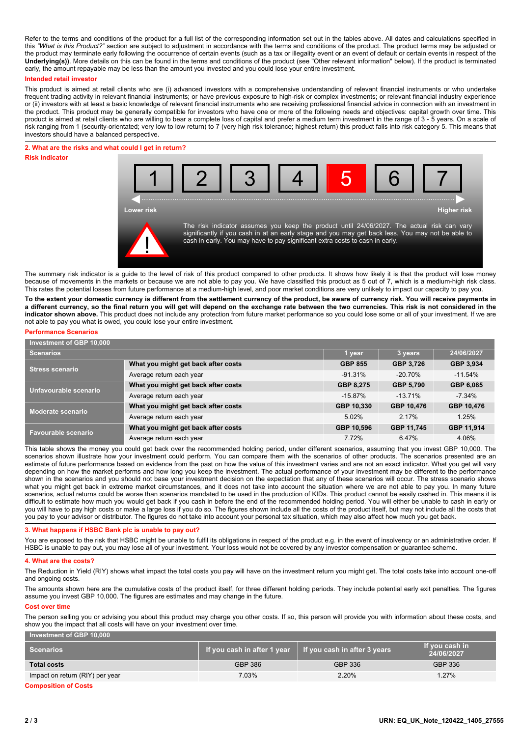Refer to the terms and conditions of the product for a full list of the corresponding information set out in the tables above. All dates and calculations specified in this *"What is this Product?"* section are subject to adjustment in accordance with the terms and conditions of the product. The product terms may be adjusted or the product may terminate early following the occurrence of certain events (such as a tax or illegality event or an event of default or certain events in respect of the **Underlying(s))**. More details on this can be found in the terms and conditions of the product (see "Other relevant information" below). If the product is terminated early, the amount repayable may be less than the amount you invested and you could lose your entire investment.

## **Intended retail investor**

This product is aimed at retail clients who are (i) advanced investors with a comprehensive understanding of relevant financial instruments or who undertake frequent trading activity in relevant financial instruments; or have previous exposure to high-risk or complex investments; or relevant financial industry experience or (ii) investors with at least a basic knowledge of relevant financial instruments who are receiving professional financial advice in connection with an investment in the product. This product may be generally compatible for investors who have one or more of the following needs and objectives: capital growth over time. This product is aimed at retail clients who are willing to bear a complete loss of capital and prefer a medium term investment in the range of 3 - 5 years. On a scale of risk ranging from 1 (security-orientated; very low to low return) to 7 (very high risk tolerance; highest return) this product falls into risk category 5. This means that investors should have a balanced perspective.

# **2. What are the risks and what could I get in return? Risk Indicator**



The summary risk indicator is a guide to the level of risk of this product compared to other products. It shows how likely it is that the product will lose money because of movements in the markets or because we are not able to pay you. We have classified this product as 5 out of 7, which is a medium-high risk class. This rates the potential losses from future performance at a medium-high level, and poor market conditions are very unlikely to impact our capacity to pay you.

**To the extent your domestic currency is different from the settlement currency of the product, be aware of currency risk. You will receive payments in a different currency, so the final return you will get will depend on the exchange rate between the two currencies. This risk is not considered in the indicator shown above.** This product does not include any protection from future market performance so you could lose some or all of your investment. If we are not able to pay you what is owed, you could lose your entire investment.

## **Performance Scenarios**

| Investment of GBP 10,000   |                                     |                |                  |            |
|----------------------------|-------------------------------------|----------------|------------------|------------|
| <b>Scenarios</b>           | 1 year                              | 3 years        | 24/06/2027       |            |
| <b>Stress scenario</b>     | What you might get back after costs | <b>GBP 855</b> | GBP 3,726        | GBP 3,934  |
|                            | Average return each year            | $-91.31%$      | $-20.70\%$       | $-11.54%$  |
| Unfavourable scenario      | What you might get back after costs | GBP 8,275      | <b>GBP 5.790</b> | GBP 6.085  |
|                            | Average return each year            | $-15.87\%$     | $-13.71%$        | $-7.34\%$  |
| <b>Moderate scenario</b>   | What you might get back after costs | GBP 10,330     | GBP 10,476       | GBP 10,476 |
|                            | Average return each year            | 5.02%          | 2.17%            | 1.25%      |
| <b>Favourable scenario</b> | What you might get back after costs | GBP 10,596     | GBP 11,745       | GBP 11,914 |
|                            | Average return each year            | 7.72%          | 6.47%            | 4.06%      |

This table shows the money you could get back over the recommended holding period, under different scenarios, assuming that you invest GBP 10,000. The scenarios shown illustrate how your investment could perform. You can compare them with the scenarios of other products. The scenarios presented are an estimate of future performance based on evidence from the past on how the value of this investment varies and are not an exact indicator. What you get will vary depending on how the market performs and how long you keep the investment. The actual performance of your investment may be different to the performance shown in the scenarios and you should not base your investment decision on the expectation that any of these scenarios will occur. The stress scenario shows what you might get back in extreme market circumstances, and it does not take into account the situation where we are not able to pay you. In many future scenarios, actual returns could be worse than scenarios mandated to be used in the production of KIDs. This product cannot be easily cashed in. This means it is difficult to estimate how much you would get back if you cash in before the end of the recommended holding period. You will either be unable to cash in early or you will have to pay high costs or make a large loss if you do so. The figures shown include all the costs of the product itself, but may not include all the costs that you pay to your advisor or distributor. The figures do not take into account your personal tax situation, which may also affect how much you get back.

# **3. What happens if HSBC Bank plc is unable to pay out?**

You are exposed to the risk that HSBC might be unable to fulfil its obligations in respect of the product e.g. in the event of insolvency or an administrative order. If HSBC is unable to pay out, you may lose all of your investment. Your loss would not be covered by any investor compensation or guarantee scheme.

#### **4. What are the costs?**

The Reduction in Yield (RIY) shows what impact the total costs you pay will have on the investment return you might get. The total costs take into account one-off and ongoing costs.

The amounts shown here are the cumulative costs of the product itself, for three different holding periods. They include potential early exit penalties. The figures assume you invest GBP 10,000. The figures are estimates and may change in the future.

#### **Cost over time**

The person selling you or advising you about this product may charge you other costs. If so, this person will provide you with information about these costs, and show you the impact that all costs will have on your investment over time.

| Investment of GBP 10,000        |                                 |                              |                              |  |
|---------------------------------|---------------------------------|------------------------------|------------------------------|--|
| Scenarios                       | l If you cash in after 1 year \ | If you cash in after 3 years | If you cash in<br>24/06/2027 |  |
| <b>Total costs</b>              | <b>GBP 386</b>                  | GBP 336                      | GBP 336                      |  |
| Impact on return (RIY) per year | 7.03%                           | 2.20%                        | 1.27%                        |  |

**Composition of Costs**